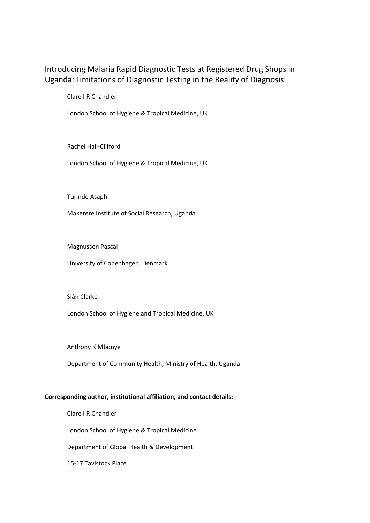# Introducing Malaria Rapid Diagnostic Tests at Registered Drug Shops in Uganda: Limitations of Diagnostic Testing in the Reality of Diagnosis

Clare I R Chandler

London School of Hygiene & Tropical Medicine, UK

Rachel Hall-Clifford

London School of Hygiene & Tropical Medicine, UK

Turinde Asaph

Makerere Institute of Social Research, Uganda

Magnussen Pascal

University of Copenhagen. Denmark

# Siân Clarke

London School of Hygiene and Tropical Medicine, UK

Anthony K Mbonye

Department of Community Health, Ministry of Health, Uganda

# **Corresponding author, institutional affiliation, and contact details:**

Clare I R Chandler

London School of Hygiene & Tropical Medicine

Department of Global Health & Development

15-17 Tavistock Place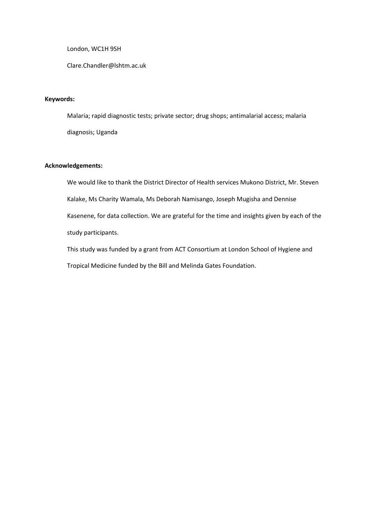London, WC1H 9SH

Clare.Chandler@lshtm.ac.uk

# **Keywords:**

Malaria; rapid diagnostic tests; private sector; drug shops; antimalarial access; malaria diagnosis; Uganda

## **Acknowledgements:**

We would like to thank the District Director of Health services Mukono District, Mr. Steven Kalake, Ms Charity Wamala, Ms Deborah Namisango, Joseph Mugisha and Dennise Kasenene, for data collection. We are grateful for the time and insights given by each of the study participants.

This study was funded by a grant from ACT Consortium at London School of Hygiene and Tropical Medicine funded by the Bill and Melinda Gates Foundation.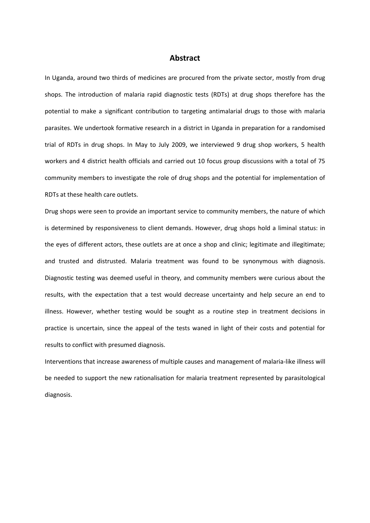# **Abstract**

In Uganda, around two thirds of medicines are procured from the private sector, mostly from drug shops. The introduction of malaria rapid diagnostic tests (RDTs) at drug shops therefore has the potential to make a significant contribution to targeting antimalarial drugs to those with malaria parasites. We undertook formative research in a district in Uganda in preparation for a randomised trial of RDTs in drug shops. In May to July 2009, we interviewed 9 drug shop workers, 5 health workers and 4 district health officials and carried out 10 focus group discussions with a total of 75 community members to investigate the role of drug shops and the potential for implementation of RDTs at these health care outlets.

Drug shops were seen to provide an important service to community members, the nature of which is determined by responsiveness to client demands. However, drug shops hold a liminal status: in the eyes of different actors, these outlets are at once a shop and clinic; legitimate and illegitimate; and trusted and distrusted. Malaria treatment was found to be synonymous with diagnosis. Diagnostic testing was deemed useful in theory, and community members were curious about the results, with the expectation that a test would decrease uncertainty and help secure an end to illness. However, whether testing would be sought as a routine step in treatment decisions in practice is uncertain, since the appeal of the tests waned in light of their costs and potential for results to conflict with presumed diagnosis.

Interventions that increase awareness of multiple causes and management of malaria-like illness will be needed to support the new rationalisation for malaria treatment represented by parasitological diagnosis.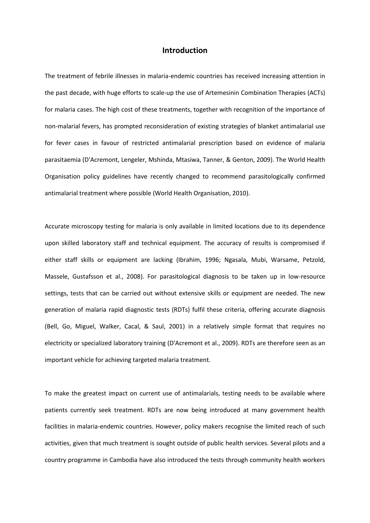# **Introduction**

The treatment of febrile illnesses in malaria-endemic countries has received increasing attention in the past decade, with huge efforts to scale-up the use of Artemesinin Combination Therapies (ACTs) for malaria cases. The high cost of these treatments, together with recognition of the importance of non-malarial fevers, has prompted reconsideration of existing strategies of blanket antimalarial use for fever cases in favour of restricted antimalarial prescription based on evidence of malaria parasitaemia [\(D'Acremont, Lengeler, Mshinda, Mtasiwa, Tanner, & Genton, 2009\)](#page-24-0). The World Health Organisation policy guidelines have recently changed to recommend parasitologically confirmed antimalarial treatment where possible [\(World Health Organisation, 2010\)](#page-26-0).

Accurate microscopy testing for malaria is only available in limited locations due to its dependence upon skilled laboratory staff and technical equipment. The accuracy of results is compromised if either staff skills or equipment are lacking [\(Ibrahim, 1996;](#page-24-1) [Ngasala, Mubi, Warsame, Petzold,](#page-25-0)  [Massele, Gustafsson et al., 2008\)](#page-25-0). For parasitological diagnosis to be taken up in low-resource settings, tests that can be carried out without extensive skills or equipment are needed. The new generation of malaria rapid diagnostic tests (RDTs) fulfil these criteria, offering accurate diagnosis [\(Bell, Go, Miguel, Walker, Cacal, & Saul, 2001\)](#page-24-2) in a relatively simple format that requires no electricity or specialized laboratory training [\(D'Acremont et al., 2009\)](#page-24-0). RDTs are therefore seen as an important vehicle for achieving targeted malaria treatment.

To make the greatest impact on current use of antimalarials, testing needs to be available where patients currently seek treatment. RDTs are now being introduced at many government health facilities in malaria-endemic countries. However, policy makers recognise the limited reach of such activities, given that much treatment is sought outside of public health services. Several pilots and a country programme in Cambodia have also introduced the tests through community health workers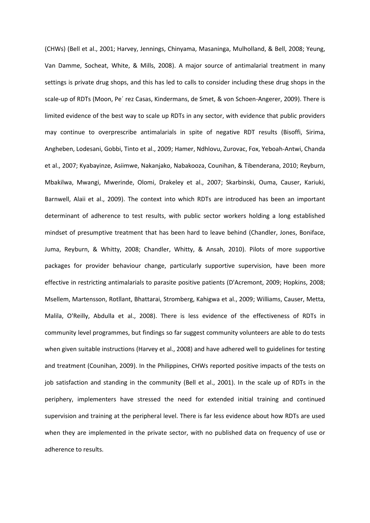(CHWs) [\(Bell et al., 2001;](#page-24-2) [Harvey, Jennings, Chinyama, Masaninga, Mulholland, & Bell, 2008;](#page-24-3) [Yeung,](#page-26-1)  [Van Damme, Socheat, White, & Mills, 2008\)](#page-26-1). A major source of antimalarial treatment in many settings is private drug shops, and this has led to calls to consider including these drug shops in the scale-up of RDTs [\(Moon, Pe´ rez Casas, Kindermans, de Smet, & von Schoen-Angerer, 2009\)](#page-25-1). There is limited evidence of the best way to scale up RDTs in any sector, with evidence that public providers may continue to overprescribe antimalarials in spite of negative RDT results [\(Bisoffi, Sirima,](#page-24-4)  [Angheben, Lodesani, Gobbi, Tinto et al., 2009;](#page-24-4) [Hamer, Ndhlovu, Zurovac, Fox, Yeboah-Antwi, Chanda](#page-24-5)  [et al., 2007;](#page-24-5) [Kyabayinze, Asiimwe, Nakanjako, Nabakooza, Counihan, & Tibenderana, 2010;](#page-25-2) [Reyburn,](#page-25-3)  [Mbakilwa, Mwangi, Mwerinde, Olomi, Drakeley et al., 2007;](#page-25-3) [Skarbinski, Ouma, Causer, Kariuki,](#page-25-4)  [Barnwell, Alaii et al., 2009\)](#page-25-4). The context into which RDTs are introduced has been an important determinant of adherence to test results, with public sector workers holding a long established mindset of presumptive treatment that has been hard to leave behind [\(Chandler, Jones, Boniface,](#page-24-6)  [Juma, Reyburn, & Whitty, 2008;](#page-24-6) [Chandler, Whitty, & Ansah, 2010\)](#page-24-7). Pilots of more supportive packages for provider behaviour change, particularly supportive supervision, have been more effective in restricting antimalarials to parasite positive patients [\(D'Acremont, 2009;](#page-24-8) [Hopkins, 2008;](#page-24-9) [Msellem, Martensson, Rotllant, Bhattarai, Stromberg, Kahigwa et al., 2009;](#page-25-5) [Williams, Causer, Metta,](#page-26-2)  [Malila, O'Reilly, Abdulla et al., 2008\)](#page-26-2). There is less evidence of the effectiveness of RDTs in community level programmes, but findings so far suggest community volunteers are able to do tests when given suitable instructions [\(Harvey et al., 2008\)](#page-24-3) and have adhered well to guidelines for testing and treatment [\(Counihan, 2009\)](#page-24-10). In the Philippines, CHWs reported positive impacts of the tests on job satisfaction and standing in the community [\(Bell et al., 2001\)](#page-24-2). In the scale up of RDTs in the periphery, implementers have stressed the need for extended initial training and continued supervision and training at the peripheral level. There is far less evidence about how RDTs are used when they are implemented in the private sector, with no published data on frequency of use or adherence to results.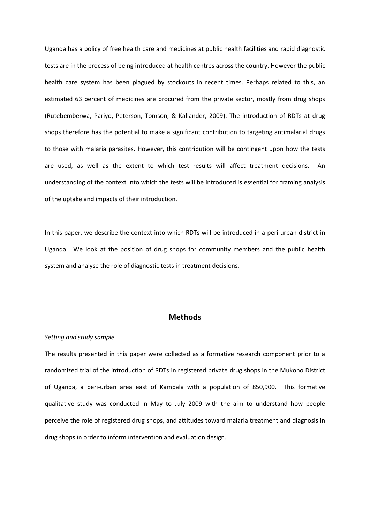Uganda has a policy of free health care and medicines at public health facilities and rapid diagnostic tests are in the process of being introduced at health centres across the country. However the public health care system has been plagued by stockouts in recent times. Perhaps related to this, an estimated 63 percent of medicines are procured from the private sector, mostly from drug shops [\(Rutebemberwa, Pariyo, Peterson, Tomson, & Kallander, 2009\)](#page-25-6). The introduction of RDTs at drug shops therefore has the potential to make a significant contribution to targeting antimalarial drugs to those with malaria parasites. However, this contribution will be contingent upon how the tests are used, as well as the extent to which test results will affect treatment decisions. An understanding of the context into which the tests will be introduced is essential for framing analysis of the uptake and impacts of their introduction.

In this paper, we describe the context into which RDTs will be introduced in a peri-urban district in Uganda. We look at the position of drug shops for community members and the public health system and analyse the role of diagnostic tests in treatment decisions.

# **Methods**

## *Setting and study sample*

The results presented in this paper were collected as a formative research component prior to a randomized trial of the introduction of RDTs in registered private drug shops in the Mukono District of Uganda, a peri-urban area east of Kampala with a population of 850,900. This formative qualitative study was conducted in May to July 2009 with the aim to understand how people perceive the role of registered drug shops, and attitudes toward malaria treatment and diagnosis in drug shops in order to inform intervention and evaluation design.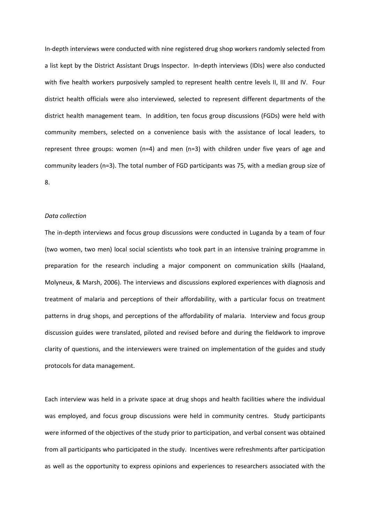In-depth interviews were conducted with nine registered drug shop workers randomly selected from a list kept by the District Assistant Drugs Inspector. In-depth interviews (IDIs) were also conducted with five health workers purposively sampled to represent health centre levels II, III and IV. Four district health officials were also interviewed, selected to represent different departments of the district health management team. In addition, ten focus group discussions (FGDs) were held with community members, selected on a convenience basis with the assistance of local leaders, to represent three groups: women  $(n=4)$  and men  $(n=3)$  with children under five years of age and community leaders (n=3). The total number of FGD participants was 75, with a median group size of 8.

#### *Data collection*

The in-depth interviews and focus group discussions were conducted in Luganda by a team of four (two women, two men) local social scientists who took part in an intensive training programme in preparation for the research including a major component on communication skills [\(Haaland,](#page-24-11)  [Molyneux, & Marsh, 2006\)](#page-24-11). The interviews and discussions explored experiences with diagnosis and treatment of malaria and perceptions of their affordability, with a particular focus on treatment patterns in drug shops, and perceptions of the affordability of malaria. Interview and focus group discussion guides were translated, piloted and revised before and during the fieldwork to improve clarity of questions, and the interviewers were trained on implementation of the guides and study protocols for data management.

Each interview was held in a private space at drug shops and health facilities where the individual was employed, and focus group discussions were held in community centres. Study participants were informed of the objectives of the study prior to participation, and verbal consent was obtained from all participants who participated in the study. Incentives were refreshments after participation as well as the opportunity to express opinions and experiences to researchers associated with the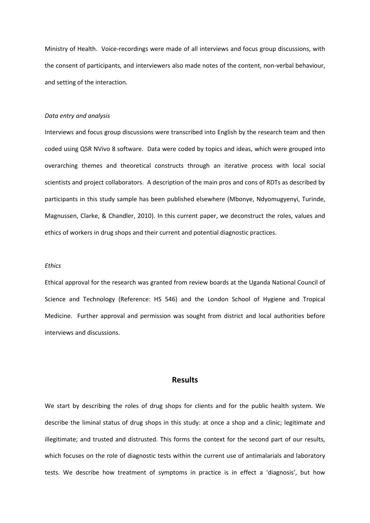Ministry of Health. Voice-recordings were made of all interviews and focus group discussions, with the consent of participants, and interviewers also made notes of the content, non-verbal behaviour, and setting of the interaction.

### *Data entry and analysis*

Interviews and focus group discussions were transcribed into English by the research team and then coded using QSR NVivo 8 software. Data were coded by topics and ideas, which were grouped into overarching themes and theoretical constructs through an iterative process with local social scientists and project collaborators. A description of the main pros and cons of RDTs as described by participants in this study sample has been published elsewhere [\(Mbonye, Ndyomugyenyi, Turinde,](#page-25-7)  [Magnussen, Clarke, & Chandler, 2010\)](#page-25-7). In this current paper, we deconstruct the roles, values and ethics of workers in drug shops and their current and potential diagnostic practices.

#### *Ethics*

Ethical approval for the research was granted from review boards at the Uganda National Council of Science and Technology (Reference: HS 546) and the London School of Hygiene and Tropical Medicine. Further approval and permission was sought from district and local authorities before interviews and discussions.

# **Results**

We start by describing the roles of drug shops for clients and for the public health system. We describe the liminal status of drug shops in this study: at once a shop and a clinic; legitimate and illegitimate; and trusted and distrusted. This forms the context for the second part of our results, which focuses on the role of diagnostic tests within the current use of antimalarials and laboratory tests. We describe how treatment of symptoms in practice is in effect a 'diagnosis', but how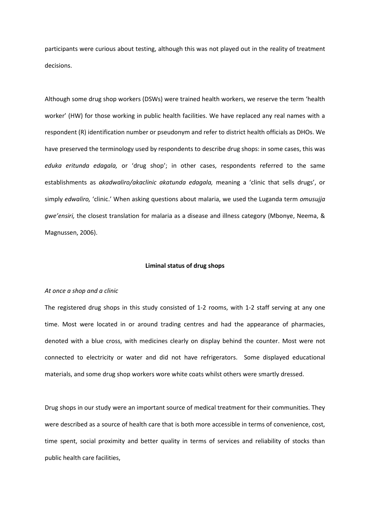participants were curious about testing, although this was not played out in the reality of treatment decisions.

Although some drug shop workers (DSWs) were trained health workers, we reserve the term 'health worker' (HW) for those working in public health facilities. We have replaced any real names with a respondent (R) identification number or pseudonym and refer to district health officials as DHOs. We have preserved the terminology used by respondents to describe drug shops: in some cases, this was *eduka eritunda edagala,* or 'drug shop'; in other cases, respondents referred to the same establishments as *akadwaliro/akaclinic akatunda edagala,* meaning a 'clinic that sells drugs', or simply *edwaliro,* 'clinic.' When asking questions about malaria, we used the Luganda term *omusujja gwe'ensiri,* the closest translation for malaria as a disease and illness category [\(Mbonye, Neema, &](#page-25-8)  [Magnussen, 2006\)](#page-25-8).

#### **Liminal status of drug shops**

# *At once a shop and a clinic*

The registered drug shops in this study consisted of 1-2 rooms, with 1-2 staff serving at any one time. Most were located in or around trading centres and had the appearance of pharmacies, denoted with a blue cross, with medicines clearly on display behind the counter. Most were not connected to electricity or water and did not have refrigerators. Some displayed educational materials, and some drug shop workers wore white coats whilst others were smartly dressed.

Drug shops in our study were an important source of medical treatment for their communities. They were described as a source of health care that is both more accessible in terms of convenience, cost, time spent, social proximity and better quality in terms of services and reliability of stocks than public health care facilities,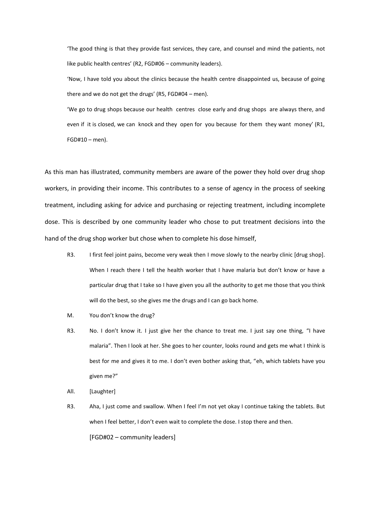'The good thing is that they provide fast services, they care, and counsel and mind the patients, not like public health centres' (R2, FGD#06 – community leaders).

'Now, I have told you about the clinics because the health centre disappointed us, because of going there and we do not get the drugs' (R5, FGD#04 – men).

'We go to drug shops because our health centres close early and drug shops are always there, and even if it is closed, we can knock and they open for you because for them they want money' (R1, FGD#10 – men).

As this man has illustrated, community members are aware of the power they hold over drug shop workers, in providing their income. This contributes to a sense of agency in the process of seeking treatment, including asking for advice and purchasing or rejecting treatment, including incomplete dose. This is described by one community leader who chose to put treatment decisions into the hand of the drug shop worker but chose when to complete his dose himself,

- R3. I first feel joint pains, become very weak then I move slowly to the nearby clinic [drug shop]. When I reach there I tell the health worker that I have malaria but don't know or have a particular drug that I take so I have given you all the authority to get me those that you think will do the best, so she gives me the drugs and I can go back home.
- M. You don't know the drug?
- R3. No. I don't know it. I just give her the chance to treat me. I just say one thing, "I have malaria". Then I look at her. She goes to her counter, looks round and gets me what I think is best for me and gives it to me. I don't even bother asking that, "eh, which tablets have you given me?"
- All. [Laughter]
- R3. Aha, I just come and swallow. When I feel I'm not yet okay I continue taking the tablets. But when I feel better, I don't even wait to complete the dose. I stop there and then. [FGD#02 – community leaders]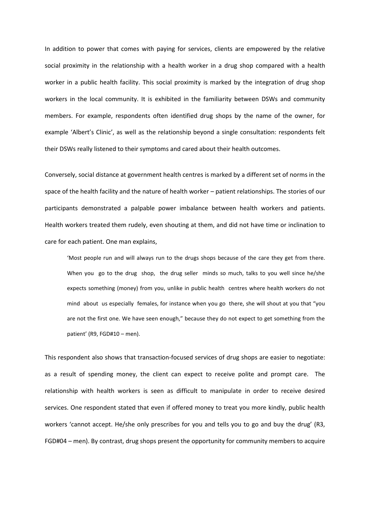In addition to power that comes with paying for services, clients are empowered by the relative social proximity in the relationship with a health worker in a drug shop compared with a health worker in a public health facility. This social proximity is marked by the integration of drug shop workers in the local community. It is exhibited in the familiarity between DSWs and community members. For example, respondents often identified drug shops by the name of the owner, for example 'Albert's Clinic', as well as the relationship beyond a single consultation: respondents felt their DSWs really listened to their symptoms and cared about their health outcomes.

Conversely, social distance at government health centres is marked by a different set of norms in the space of the health facility and the nature of health worker – patient relationships. The stories of our participants demonstrated a palpable power imbalance between health workers and patients. Health workers treated them rudely, even shouting at them, and did not have time or inclination to care for each patient. One man explains,

'Most people run and will always run to the drugs shops because of the care they get from there. When you go to the drug shop, the drug seller minds so much, talks to you well since he/she expects something (money) from you, unlike in public health centres where health workers do not mind about us especially females, for instance when you go there, she will shout at you that "you are not the first one. We have seen enough," because they do not expect to get something from the patient' (R9, FGD#10 – men).

This respondent also shows that transaction-focused services of drug shops are easier to negotiate: as a result of spending money, the client can expect to receive polite and prompt care. The relationship with health workers is seen as difficult to manipulate in order to receive desired services. One respondent stated that even if offered money to treat you more kindly, public health workers 'cannot accept. He/she only prescribes for you and tells you to go and buy the drug' (R3, FGD#04 – men). By contrast, drug shops present the opportunity for community members to acquire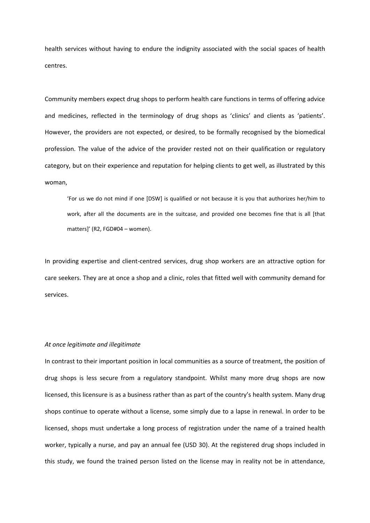health services without having to endure the indignity associated with the social spaces of health centres.

Community members expect drug shops to perform health care functions in terms of offering advice and medicines, reflected in the terminology of drug shops as 'clinics' and clients as 'patients'. However, the providers are not expected, or desired, to be formally recognised by the biomedical profession. The value of the advice of the provider rested not on their qualification or regulatory category, but on their experience and reputation for helping clients to get well, as illustrated by this woman,

'For us we do not mind if one [DSW] is qualified or not because it is you that authorizes her/him to work, after all the documents are in the suitcase, and provided one becomes fine that is all [that matters]' (R2, FGD#04 – women).

In providing expertise and client-centred services, drug shop workers are an attractive option for care seekers. They are at once a shop and a clinic, roles that fitted well with community demand for services.

### *At once legitimate and illegitimate*

In contrast to their important position in local communities as a source of treatment, the position of drug shops is less secure from a regulatory standpoint. Whilst many more drug shops are now licensed, this licensure is as a business rather than as part of the country's health system. Many drug shops continue to operate without a license, some simply due to a lapse in renewal. In order to be licensed, shops must undertake a long process of registration under the name of a trained health worker, typically a nurse, and pay an annual fee (USD 30). At the registered drug shops included in this study, we found the trained person listed on the license may in reality not be in attendance,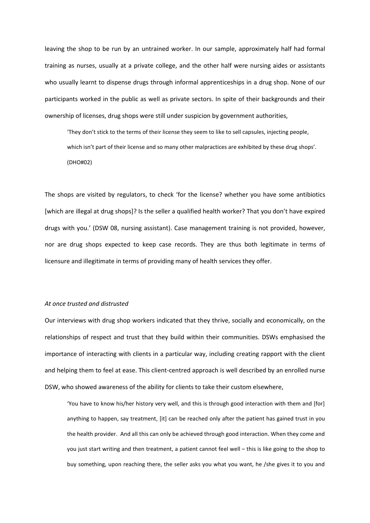leaving the shop to be run by an untrained worker. In our sample, approximately half had formal training as nurses, usually at a private college, and the other half were nursing aides or assistants who usually learnt to dispense drugs through informal apprenticeships in a drug shop. None of our participants worked in the public as well as private sectors. In spite of their backgrounds and their ownership of licenses, drug shops were still under suspicion by government authorities,

'They don't stick to the terms of their license they seem to like to sell capsules, injecting people, which isn't part of their license and so many other malpractices are exhibited by these drug shops'. (DHO#02)

The shops are visited by regulators, to check 'for the license? whether you have some antibiotics [which are illegal at drug shops]? Is the seller a qualified health worker? That you don't have expired drugs with you.' (DSW 08, nursing assistant). Case management training is not provided, however, nor are drug shops expected to keep case records. They are thus both legitimate in terms of licensure and illegitimate in terms of providing many of health services they offer.

### *At once trusted and distrusted*

Our interviews with drug shop workers indicated that they thrive, socially and economically, on the relationships of respect and trust that they build within their communities. DSWs emphasised the importance of interacting with clients in a particular way, including creating rapport with the client and helping them to feel at ease. This client-centred approach is well described by an enrolled nurse DSW, who showed awareness of the ability for clients to take their custom elsewhere,

'You have to know his/her history very well, and this is through good interaction with them and [for] anything to happen, say treatment, [it] can be reached only after the patient has gained trust in you the health provider. And all this can only be achieved through good interaction. When they come and you just start writing and then treatment, a patient cannot feel well – this is like going to the shop to buy something, upon reaching there, the seller asks you what you want, he /she gives it to you and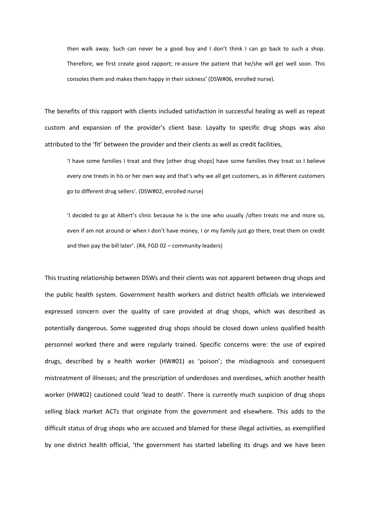then walk away. Such can never be a good buy and I don't think I can go back to such a shop. Therefore, we first create good rapport; re-assure the patient that he/she will get well soon. This consoles them and makes them happy in their sickness' (DSW#06, enrolled nurse).

The benefits of this rapport with clients included satisfaction in successful healing as well as repeat custom and expansion of the provider's client base. Loyalty to specific drug shops was also attributed to the 'fit' between the provider and their clients as well as credit facilities,

'I have some families I treat and they [other drug shops] have some families they treat so I believe every one treats in his or her own way and that's why we all get customers, as in different customers go to different drug sellers'. (DSW#02, enrolled nurse)

'I decided to go at Albert's clinic because he is the one who usually /often treats me and more so, even if am not around or when I don't have money, I or my family just go there, treat them on credit and then pay the bill later'. (R4, FGD 02 – community leaders)

This trusting relationship between DSWs and their clients was not apparent between drug shops and the public health system. Government health workers and district health officials we interviewed expressed concern over the quality of care provided at drug shops, which was described as potentially dangerous. Some suggested drug shops should be closed down unless qualified health personnel worked there and were regularly trained. Specific concerns were: the use of expired drugs, described by a health worker (HW#01) as 'poison'; the misdiagnosis and consequent mistreatment of illnesses; and the prescription of underdoses and overdoses, which another health worker (HW#02) cautioned could 'lead to death'. There is currently much suspicion of drug shops selling black market ACTs that originate from the government and elsewhere. This adds to the difficult status of drug shops who are accused and blamed for these illegal activities, as exemplified by one district health official, 'the government has started labelling its drugs and we have been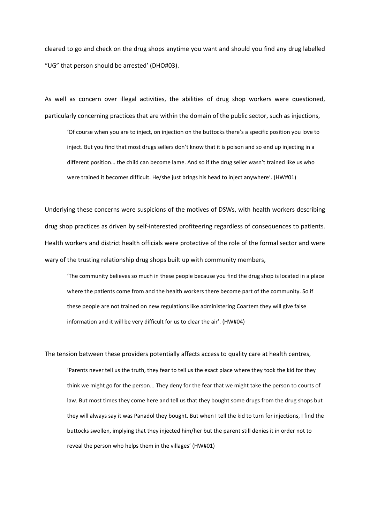cleared to go and check on the drug shops anytime you want and should you find any drug labelled "UG" that person should be arrested' (DHO#03).

As well as concern over illegal activities, the abilities of drug shop workers were questioned, particularly concerning practices that are within the domain of the public sector, such as injections,

'Of course when you are to inject, on injection on the buttocks there's a specific position you love to inject. But you find that most drugs sellers don't know that it is poison and so end up injecting in a different position… the child can become lame. And so if the drug seller wasn't trained like us who were trained it becomes difficult. He/she just brings his head to inject anywhere'. (HW#01)

Underlying these concerns were suspicions of the motives of DSWs, with health workers describing drug shop practices as driven by self-interested profiteering regardless of consequences to patients. Health workers and district health officials were protective of the role of the formal sector and were wary of the trusting relationship drug shops built up with community members,

'The community believes so much in these people because you find the drug shop is located in a place where the patients come from and the health workers there become part of the community. So if these people are not trained on new regulations like administering Coartem they will give false information and it will be very difficult for us to clear the air'. (HW#04)

The tension between these providers potentially affects access to quality care at health centres, 'Parents never tell us the truth, they fear to tell us the exact place where they took the kid for they think we might go for the person... They deny for the fear that we might take the person to courts of law. But most times they come here and tell us that they bought some drugs from the drug shops but they will always say it was Panadol they bought. But when I tell the kid to turn for injections, I find the buttocks swollen, implying that they injected him/her but the parent still denies it in order not to reveal the person who helps them in the villages' (HW#01)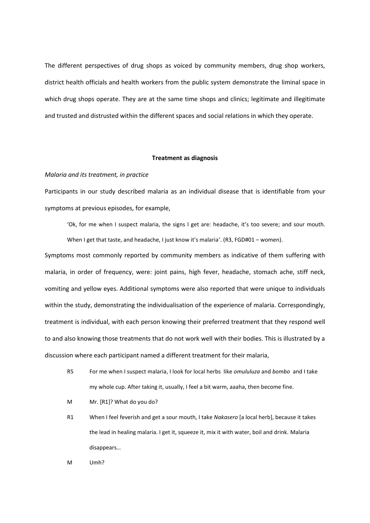The different perspectives of drug shops as voiced by community members, drug shop workers, district health officials and health workers from the public system demonstrate the liminal space in which drug shops operate. They are at the same time shops and clinics; legitimate and illegitimate and trusted and distrusted within the different spaces and social relations in which they operate.

#### **Treatment as diagnosis**

### *Malaria and its treatment, in practice*

Participants in our study described malaria as an individual disease that is identifiable from your symptoms at previous episodes, for example,

'Ok, for me when I suspect malaria, the signs I get are: headache, it's too severe; and sour mouth. When I get that taste, and headache, I just know it's malaria'. (R3, FGD#01 – women).

Symptoms most commonly reported by community members as indicative of them suffering with malaria, in order of frequency, were: joint pains, high fever, headache, stomach ache, stiff neck, vomiting and yellow eyes. Additional symptoms were also reported that were unique to individuals within the study, demonstrating the individualisation of the experience of malaria. Correspondingly, treatment is individual, with each person knowing their preferred treatment that they respond well to and also knowing those treatments that do not work well with their bodies. This is illustrated by a discussion where each participant named a different treatment for their malaria,

- R5 For me when I suspect malaria, I look for local herbs like *omululuza* and *bombo* and I take my whole cup. After taking it, usually, I feel a bit warm, aaaha, then become fine.
- M Mr. [R1]? What do you do?
- R1 When I feel feverish and get a sour mouth, I take *Nakasero* [a local herb], because it takes the lead in healing malaria. I get it, squeeze it, mix it with water, boil and drink. Malaria disappears…
- M Umh?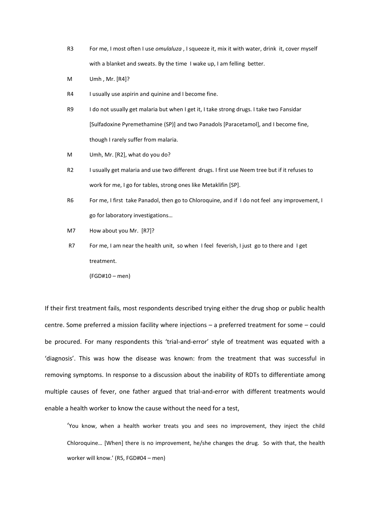- R3 For me, I most often I use *omulaluza* , I squeeze it, mix it with water, drink it, cover myself with a blanket and sweats. By the time I wake up, I am felling better.
- M Umh , Mr. [R4]?
- R4 I usually use aspirin and quinine and I become fine.
- R9 I do not usually get malaria but when I get it, I take strong drugs. I take two Fansidar [Sulfadoxine Pyremethamine (SP)] and two Panadols [Paracetamol], and I become fine, though I rarely suffer from malaria.
- M Umh, Mr. [R2], what do you do?
- R2 I usually get malaria and use two different drugs. I first use Neem tree but if it refuses to work for me, I go for tables, strong ones like Metaklifin [SP].
- R6 For me, I first take Panadol, then go to Chloroquine, and if I do not feel any improvement, I go for laboratory investigations…
- M7 How about you Mr. [R7]?
- R7 For me, I am near the health unit, so when I feel feverish, I just go to there and I get treatment.
	- (FGD#10 men)

If their first treatment fails, most respondents described trying either the drug shop or public health centre. Some preferred a mission facility where injections – a preferred treatment for some – could be procured. For many respondents this 'trial-and-error' style of treatment was equated with a 'diagnosis'. This was how the disease was known: from the treatment that was successful in removing symptoms. In response to a discussion about the inability of RDTs to differentiate among multiple causes of fever, one father argued that trial-and-error with different treatments would enable a health worker to know the cause without the need for a test,

'You know, when a health worker treats you and sees no improvement, they inject the child Chloroquine… [When] there is no improvement, he/she changes the drug. So with that, the health worker will know.' (R5, FGD#04 – men)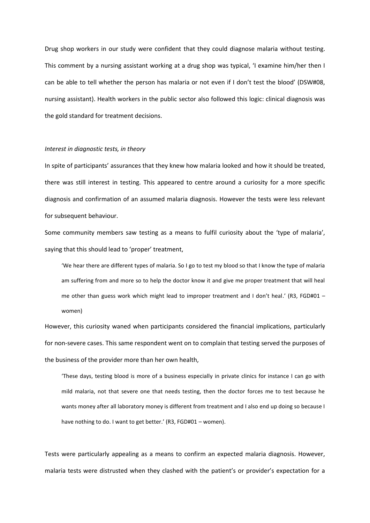Drug shop workers in our study were confident that they could diagnose malaria without testing. This comment by a nursing assistant working at a drug shop was typical, 'I examine him/her then I can be able to tell whether the person has malaria or not even if I don't test the blood' (DSW#08, nursing assistant). Health workers in the public sector also followed this logic: clinical diagnosis was the gold standard for treatment decisions.

#### *Interest in diagnostic tests, in theory*

In spite of participants' assurances that they knew how malaria looked and how it should be treated, there was still interest in testing. This appeared to centre around a curiosity for a more specific diagnosis and confirmation of an assumed malaria diagnosis. However the tests were less relevant for subsequent behaviour.

Some community members saw testing as a means to fulfil curiosity about the 'type of malaria', saying that this should lead to 'proper' treatment,

'We hear there are different types of malaria. So I go to test my blood so that I know the type of malaria am suffering from and more so to help the doctor know it and give me proper treatment that will heal me other than guess work which might lead to improper treatment and I don't heal.' (R3, FGD#01 – women)

However, this curiosity waned when participants considered the financial implications, particularly for non-severe cases. This same respondent went on to complain that testing served the purposes of the business of the provider more than her own health,

'These days, testing blood is more of a business especially in private clinics for instance I can go with mild malaria, not that severe one that needs testing, then the doctor forces me to test because he wants money after all laboratory money is different from treatment and I also end up doing so because I have nothing to do. I want to get better.' (R3, FGD#01 – women).

Tests were particularly appealing as a means to confirm an expected malaria diagnosis. However, malaria tests were distrusted when they clashed with the patient's or provider's expectation for a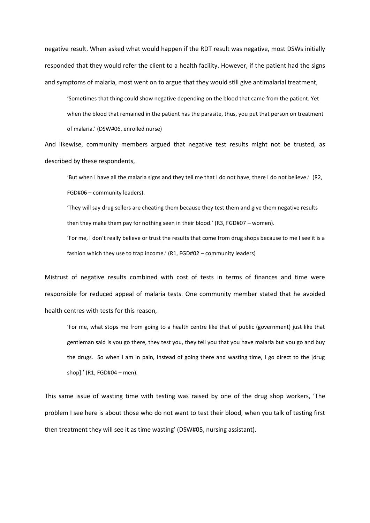negative result. When asked what would happen if the RDT result was negative, most DSWs initially responded that they would refer the client to a health facility. However, if the patient had the signs and symptoms of malaria, most went on to argue that they would still give antimalarial treatment,

'Sometimes that thing could show negative depending on the blood that came from the patient. Yet when the blood that remained in the patient has the parasite, thus, you put that person on treatment of malaria.' (DSW#06, enrolled nurse)

And likewise, community members argued that negative test results might not be trusted, as described by these respondents,

'But when I have all the malaria signs and they tell me that I do not have, there I do not believe.' (R2, FGD#06 – community leaders).

'They will say drug sellers are cheating them because they test them and give them negative results then they make them pay for nothing seen in their blood.' (R3, FGD#07 – women).

'For me, I don't really believe or trust the results that come from drug shops because to me I see it is a fashion which they use to trap income.' (R1, FGD#02 – community leaders)

Mistrust of negative results combined with cost of tests in terms of finances and time were responsible for reduced appeal of malaria tests. One community member stated that he avoided health centres with tests for this reason,

'For me, what stops me from going to a health centre like that of public (government) just like that gentleman said is you go there, they test you, they tell you that you have malaria but you go and buy the drugs. So when I am in pain, instead of going there and wasting time, I go direct to the [drug shop].' (R1, FGD#04 – men).

This same issue of wasting time with testing was raised by one of the drug shop workers, 'The problem I see here is about those who do not want to test their blood, when you talk of testing first then treatment they will see it as time wasting' (DSW#05, nursing assistant).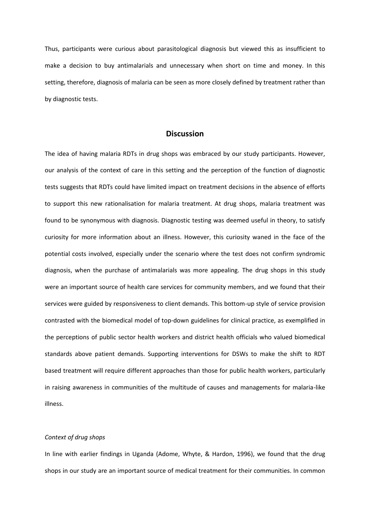Thus, participants were curious about parasitological diagnosis but viewed this as insufficient to make a decision to buy antimalarials and unnecessary when short on time and money. In this setting, therefore, diagnosis of malaria can be seen as more closely defined by treatment rather than by diagnostic tests.

# **Discussion**

The idea of having malaria RDTs in drug shops was embraced by our study participants. However, our analysis of the context of care in this setting and the perception of the function of diagnostic tests suggests that RDTs could have limited impact on treatment decisions in the absence of efforts to support this new rationalisation for malaria treatment. At drug shops, malaria treatment was found to be synonymous with diagnosis. Diagnostic testing was deemed useful in theory, to satisfy curiosity for more information about an illness. However, this curiosity waned in the face of the potential costs involved, especially under the scenario where the test does not confirm syndromic diagnosis, when the purchase of antimalarials was more appealing. The drug shops in this study were an important source of health care services for community members, and we found that their services were guided by responsiveness to client demands. This bottom-up style of service provision contrasted with the biomedical model of top-down guidelines for clinical practice, as exemplified in the perceptions of public sector health workers and district health officials who valued biomedical standards above patient demands. Supporting interventions for DSWs to make the shift to RDT based treatment will require different approaches than those for public health workers, particularly in raising awareness in communities of the multitude of causes and managements for malaria-like illness.

### *Context of drug shops*

In line with earlier findings in Uganda [\(Adome, Whyte, & Hardon, 1996\)](#page-24-12), we found that the drug shops in our study are an important source of medical treatment for their communities. In common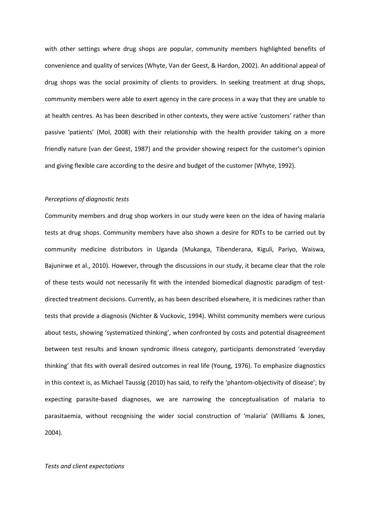with other settings where drug shops are popular, community members highlighted benefits of convenience and quality of services [\(Whyte, Van der Geest, & Hardon, 2002\)](#page-25-9). An additional appeal of drug shops was the social proximity of clients to providers. In seeking treatment at drug shops, community members were able to exert agency in the care process in a way that they are unable to at health centres. As has been described in other contexts, they were active 'customers' rather than passive 'patients' [\(Mol, 2008\)](#page-25-10) with their relationship with the health provider taking on a more friendly nature [\(van der Geest, 1987\)](#page-25-11) and the provider showing respect for the customer's opinion and giving flexible care according to the desire and budget of the customer [\(Whyte, 1992\)](#page-25-12).

### *Perceptions of diagnostic tests*

Community members and drug shop workers in our study were keen on the idea of having malaria tests at drug shops. Community members have also shown a desire for RDTs to be carried out by community medicine distributors in Uganda [\(Mukanga, Tibenderana, Kiguli, Pariyo, Waiswa,](#page-25-13)  [Bajunirwe et al., 2010\)](#page-25-13). However, through the discussions in our study, it became clear that the role of these tests would not necessarily fit with the intended biomedical diagnostic paradigm of testdirected treatment decisions. Currently, as has been described elsewhere, it is medicines rather than tests that provide a diagnosis [\(Nichter & Vuckovic, 1994\)](#page-25-14). Whilst community members were curious about tests, showing 'systematized thinking', when confronted by costs and potential disagreement between test results and known syndromic illness category, participants demonstrated 'everyday thinking' that fits with overall desired outcomes in real life [\(Young, 1976\)](#page-26-3). To emphasize diagnostics in this context is, as Michael Taussig [\(2010\)](#page-25-15) has said, to reify the 'phantom-objectivity of disease'; by expecting parasite-based diagnoses, we are narrowing the conceptualisation of malaria to parasitaemia, without recognising the wider social construction of 'malaria' [\(Williams & Jones,](#page-26-4)  [2004\)](#page-26-4).

### *Tests and client expectations*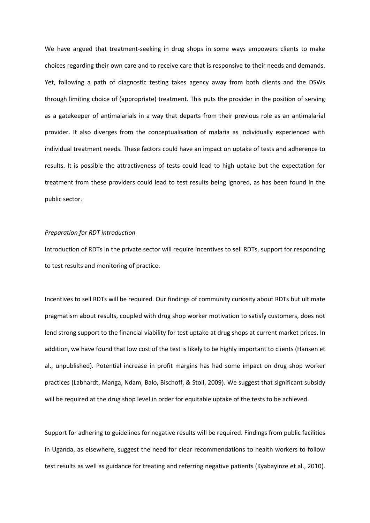We have argued that treatment-seeking in drug shops in some ways empowers clients to make choices regarding their own care and to receive care that is responsive to their needs and demands. Yet, following a path of diagnostic testing takes agency away from both clients and the DSWs through limiting choice of (appropriate) treatment. This puts the provider in the position of serving as a gatekeeper of antimalarials in a way that departs from their previous role as an antimalarial provider. It also diverges from the conceptualisation of malaria as individually experienced with individual treatment needs. These factors could have an impact on uptake of tests and adherence to results. It is possible the attractiveness of tests could lead to high uptake but the expectation for treatment from these providers could lead to test results being ignored, as has been found in the public sector.

### *Preparation for RDT introduction*

Introduction of RDTs in the private sector will require incentives to sell RDTs, support for responding to test results and monitoring of practice.

Incentives to sell RDTs will be required. Our findings of community curiosity about RDTs but ultimate pragmatism about results, coupled with drug shop worker motivation to satisfy customers, does not lend strong support to the financial viability for test uptake at drug shops at current market prices. In addition, we have found that low cost of the test is likely to be highly important to clients (Hansen et al., unpublished). Potential increase in profit margins has had some impact on drug shop worker practices [\(Labhardt, Manga, Ndam, Balo, Bischoff, & Stoll, 2009\)](#page-25-16). We suggest that significant subsidy will be required at the drug shop level in order for equitable uptake of the tests to be achieved.

Support for adhering to guidelines for negative results will be required. Findings from public facilities in Uganda, as elsewhere, suggest the need for clear recommendations to health workers to follow test results as well as guidance for treating and referring negative patients [\(Kyabayinze et al., 2010\)](#page-25-2).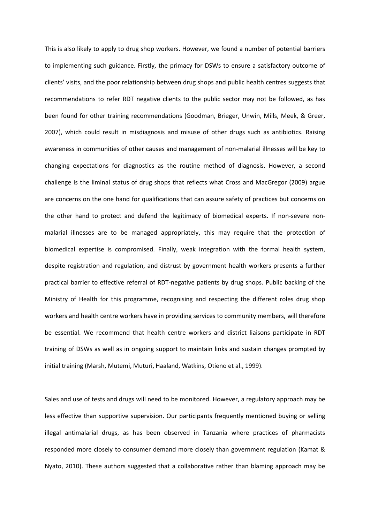This is also likely to apply to drug shop workers. However, we found a number of potential barriers to implementing such guidance. Firstly, the primacy for DSWs to ensure a satisfactory outcome of clients' visits, and the poor relationship between drug shops and public health centres suggests that recommendations to refer RDT negative clients to the public sector may not be followed, as has been found for other training recommendations [\(Goodman, Brieger, Unwin, Mills, Meek, & Greer,](#page-24-13)  [2007\)](#page-24-13), which could result in misdiagnosis and misuse of other drugs such as antibiotics. Raising awareness in communities of other causes and management of non-malarial illnesses will be key to changing expectations for diagnostics as the routine method of diagnosis. However, a second challenge is the liminal status of drug shops that reflects what Cross and MacGregor [\(2009\)](#page-24-14) argue are concerns on the one hand for qualifications that can assure safety of practices but concerns on the other hand to protect and defend the legitimacy of biomedical experts. If non-severe nonmalarial illnesses are to be managed appropriately, this may require that the protection of biomedical expertise is compromised. Finally, weak integration with the formal health system, despite registration and regulation, and distrust by government health workers presents a further practical barrier to effective referral of RDT-negative patients by drug shops. Public backing of the Ministry of Health for this programme, recognising and respecting the different roles drug shop workers and health centre workers have in providing services to community members, will therefore be essential. We recommend that health centre workers and district liaisons participate in RDT training of DSWs as well as in ongoing support to maintain links and sustain changes prompted by initial training (Marsh, Mutemi, Muturi, Haaland, Watkins, Otieno et al., 1999).

Sales and use of tests and drugs will need to be monitored. However, a regulatory approach may be less effective than supportive supervision. Our participants frequently mentioned buying or selling illegal antimalarial drugs, as has been observed in Tanzania where practices of pharmacists responded more closely to consumer demand more closely than government regulation [\(Kamat &](#page-24-15)  [Nyato, 2010\)](#page-24-15). These authors suggested that a collaborative rather than blaming approach may be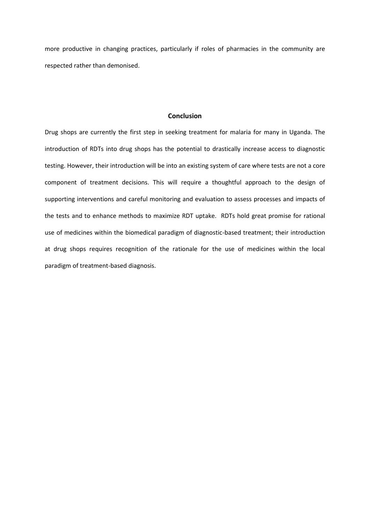more productive in changing practices, particularly if roles of pharmacies in the community are respected rather than demonised.

### **Conclusion**

Drug shops are currently the first step in seeking treatment for malaria for many in Uganda. The introduction of RDTs into drug shops has the potential to drastically increase access to diagnostic testing. However, their introduction will be into an existing system of care where tests are not a core component of treatment decisions. This will require a thoughtful approach to the design of supporting interventions and careful monitoring and evaluation to assess processes and impacts of the tests and to enhance methods to maximize RDT uptake. RDTs hold great promise for rational use of medicines within the biomedical paradigm of diagnostic-based treatment; their introduction at drug shops requires recognition of the rationale for the use of medicines within the local paradigm of treatment-based diagnosis.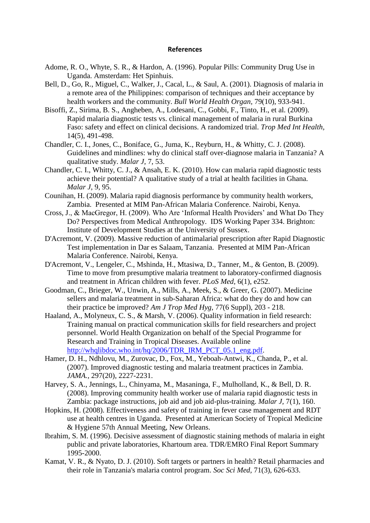## **References**

- <span id="page-24-12"></span>Adome, R. O., Whyte, S. R., & Hardon, A. (1996). Popular Pills: Community Drug Use in Uganda. Amsterdam: Het Spinhuis.
- <span id="page-24-2"></span>Bell, D., Go, R., Miguel, C., Walker, J., Cacal, L., & Saul, A. (2001). Diagnosis of malaria in a remote area of the Philippines: comparison of techniques and their acceptance by health workers and the community. *Bull World Health Organ,* 79(10), 933-941.
- <span id="page-24-4"></span>Bisoffi, Z., Sirima, B. S., Angheben, A., Lodesani, C., Gobbi, F., Tinto, H., et al. (2009). Rapid malaria diagnostic tests vs. clinical management of malaria in rural Burkina Faso: safety and effect on clinical decisions. A randomized trial. *Trop Med Int Health,*  14(5), 491-498.
- <span id="page-24-6"></span>Chandler, C. I., Jones, C., Boniface, G., Juma, K., Reyburn, H., & Whitty, C. J. (2008). Guidelines and mindlines: why do clinical staff over-diagnose malaria in Tanzania? A qualitative study. *Malar J,* 7, 53.
- <span id="page-24-7"></span>Chandler, C. I., Whitty, C. J., & Ansah, E. K. (2010). How can malaria rapid diagnostic tests achieve their potential? A qualitative study of a trial at health facilities in Ghana. *Malar J,* 9, 95.
- <span id="page-24-10"></span>Counihan, H. (2009). Malaria rapid diagnosis performance by community health workers, Zambia. Presented at MIM Pan-African Malaria Conference. Nairobi, Kenya.
- <span id="page-24-14"></span>Cross, J., & MacGregor, H. (2009). Who Are 'Informal Health Providers' and What Do They Do? Perspectives from Medical Anthropology. IDS Working Paper 334. Brighton: Institute of Development Studies at the University of Sussex.
- <span id="page-24-8"></span>D'Acremont, V. (2009). Massive reduction of antimalarial prescription after Rapid Diagnostic Test implementation in Dar es Salaam, Tanzania. Presented at MIM Pan-African Malaria Conference. Nairobi, Kenya.
- <span id="page-24-0"></span>D'Acremont, V., Lengeler, C., Mshinda, H., Mtasiwa, D., Tanner, M., & Genton, B. (2009). Time to move from presumptive malaria treatment to laboratory-confirmed diagnosis and treatment in African children with fever. *PLoS Med,* 6(1), e252.
- <span id="page-24-13"></span>Goodman, C., Brieger, W., Unwin, A., Mills, A., Meek, S., & Greer, G. (2007). Medicine sellers and malaria treatment in sub-Saharan Africa: what do they do and how can their practice be improved? *Am J Trop Med Hyg,* 77(6 Suppl), 203 - 218.
- <span id="page-24-11"></span>Haaland, A., Molyneux, C. S., & Marsh, V. (2006). Quality information in field research: Training manual on practical communication skills for field researchers and project personnel. World Health Organization on behalf of the Special Programme for Research and Training in Tropical Diseases. Available online [http://whqlibdoc.who.int/hq/2006/TDR\\_IRM\\_PCT\\_05.1\\_eng.pdf.](http://whqlibdoc.who.int/hq/2006/TDR_IRM_PCT_05.1_eng.pdf)
- <span id="page-24-5"></span>Hamer, D. H., Ndhlovu, M., Zurovac, D., Fox, M., Yeboah-Antwi, K., Chanda, P., et al. (2007). Improved diagnostic testing and malaria treatment practices in Zambia. *JAMA.,* 297(20), 2227-2231.
- <span id="page-24-3"></span>Harvey, S. A., Jennings, L., Chinyama, M., Masaninga, F., Mulholland, K., & Bell, D. R. (2008). Improving community health worker use of malaria rapid diagnostic tests in Zambia: package instructions, job aid and job aid-plus-training. *Malar J,* 7(1), 160.
- <span id="page-24-9"></span>Hopkins, H. (2008). Effectiveness and safety of training in fever case management and RDT use at health centres in Uganda. Presented at American Society of Tropical Medicine & Hygiene 57th Annual Meeting, New Orleans.
- <span id="page-24-1"></span>Ibrahim, S. M. (1996). Decisive assessment of diagnostic staining methods of malaria in eight public and private laboratories, Khartoum area. TDR/EMRO Final Report Summary 1995-2000.
- <span id="page-24-15"></span>Kamat, V. R., & Nyato, D. J. (2010). Soft targets or partners in health? Retail pharmacies and their role in Tanzania's malaria control program. *Soc Sci Med,* 71(3), 626-633.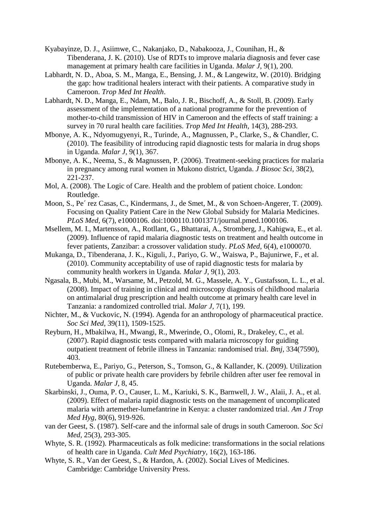- <span id="page-25-2"></span>Kyabayinze, D. J., Asiimwe, C., Nakanjako, D., Nabakooza, J., Counihan, H., & Tibenderana, J. K. (2010). Use of RDTs to improve malaria diagnosis and fever case management at primary health care facilities in Uganda. *Malar J,* 9(1), 200.
- <span id="page-25-15"></span>Labhardt, N. D., Aboa, S. M., Manga, E., Bensing, J. M., & Langewitz, W. (2010). Bridging the gap: how traditional healers interact with their patients. A comparative study in Cameroon. *Trop Med Int Health*.
- <span id="page-25-16"></span>Labhardt, N. D., Manga, E., Ndam, M., Balo, J. R., Bischoff, A., & Stoll, B. (2009). Early assessment of the implementation of a national programme for the prevention of mother-to-child transmission of HIV in Cameroon and the effects of staff training: a survey in 70 rural health care facilities. *Trop Med Int Health,* 14(3), 288-293.
- <span id="page-25-7"></span>Mbonye, A. K., Ndyomugyenyi, R., Turinde, A., Magnussen, P., Clarke, S., & Chandler, C. (2010). The feasibility of introducing rapid diagnostic tests for malaria in drug shops in Uganda. *Malar J,* 9(1), 367.
- <span id="page-25-8"></span>Mbonye, A. K., Neema, S., & Magnussen, P. (2006). Treatment-seeking practices for malaria in pregnancy among rural women in Mukono district, Uganda. *J Biosoc Sci,* 38(2), 221-237.
- <span id="page-25-10"></span>Mol, A. (2008). The Logic of Care. Health and the problem of patient choice. London: Routledge.
- <span id="page-25-1"></span>Moon, S., Pe´ rez Casas, C., Kindermans, J., de Smet, M., & von Schoen-Angerer, T. (2009). Focusing on Quality Patient Care in the New Global Subsidy for Malaria Medicines. *PLoS Med,* 6(7), e1000106. doi:1000110.1001371/journal.pmed.1000106.
- <span id="page-25-5"></span>Msellem, M. I., Martensson, A., Rotllant, G., Bhattarai, A., Stromberg, J., Kahigwa, E., et al. (2009). Influence of rapid malaria diagnostic tests on treatment and health outcome in fever patients, Zanzibar: a crossover validation study. *PLoS Med,* 6(4), e1000070.
- <span id="page-25-13"></span>Mukanga, D., Tibenderana, J. K., Kiguli, J., Pariyo, G. W., Waiswa, P., Bajunirwe, F., et al. (2010). Community acceptability of use of rapid diagnostic tests for malaria by community health workers in Uganda. *Malar J,* 9(1), 203.
- <span id="page-25-0"></span>Ngasala, B., Mubi, M., Warsame, M., Petzold, M. G., Massele, A. Y., Gustafsson, L. L., et al. (2008). Impact of training in clinical and microscopy diagnosis of childhood malaria on antimalarial drug prescription and health outcome at primary health care level in Tanzania: a randomized controlled trial. *Malar J,* 7(1), 199.
- <span id="page-25-14"></span>Nichter, M., & Vuckovic, N. (1994). Agenda for an anthropology of pharmaceutical practice. *Soc Sci Med,* 39(11), 1509-1525.
- <span id="page-25-3"></span>Reyburn, H., Mbakilwa, H., Mwangi, R., Mwerinde, O., Olomi, R., Drakeley, C., et al. (2007). Rapid diagnostic tests compared with malaria microscopy for guiding outpatient treatment of febrile illness in Tanzania: randomised trial. *Bmj,* 334(7590), 403.
- <span id="page-25-6"></span>Rutebemberwa, E., Pariyo, G., Peterson, S., Tomson, G., & Kallander, K. (2009). Utilization of public or private health care providers by febrile children after user fee removal in Uganda. *Malar J,* 8, 45.
- <span id="page-25-4"></span>Skarbinski, J., Ouma, P. O., Causer, L. M., Kariuki, S. K., Barnwell, J. W., Alaii, J. A., et al. (2009). Effect of malaria rapid diagnostic tests on the management of uncomplicated malaria with artemether-lumefantrine in Kenya: a cluster randomized trial. *Am J Trop Med Hyg,* 80(6), 919-926.
- <span id="page-25-11"></span>van der Geest, S. (1987). Self-care and the informal sale of drugs in south Cameroon. *Soc Sci Med,* 25(3), 293-305.
- <span id="page-25-12"></span>Whyte, S. R. (1992). Pharmaceuticals as folk medicine: transformations in the social relations of health care in Uganda. *Cult Med Psychiatry,* 16(2), 163-186.
- <span id="page-25-9"></span>Whyte, S. R., Van der Geest, S., & Hardon, A. (2002). Social Lives of Medicines. Cambridge: Cambridge University Press.